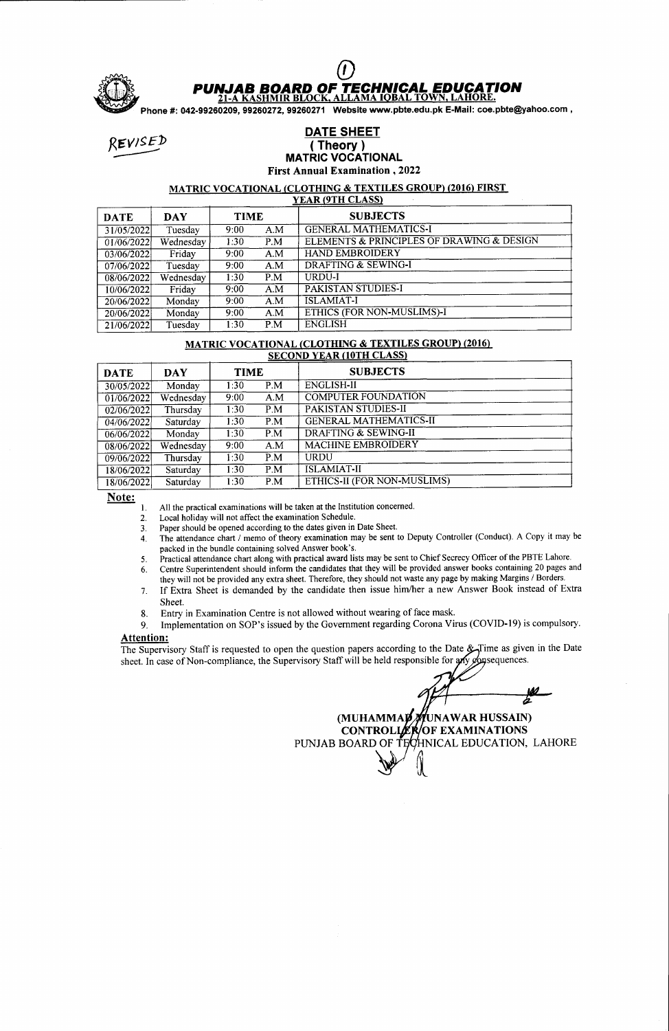

# **PUNJAB BOARD OF TECHNICAL EDUCATION**<br>21-A KASHMIR BLOCK, ALLAMA IOBAL TOWN, LAHORE.<br>Phone #: 042-99260209, 99260272, 99260271 Website www.pbte.edu.pk E-Mail: coe.pbte@yahoo.com ,

# THE SHEET (Theory)<br>Theory (Theory) MATRIC VOCATIONAL First Annual Examination ,2022

# MATRIC VOCATIONAL (CLOTHING & TEXTILES GROUP) (2016) FIRST<br>YEAR (9TH CLASS)

| <b>DATE</b> | <b>DAY</b> | <b>TIME</b> |      | <b>SUBJECTS</b>                           |
|-------------|------------|-------------|------|-------------------------------------------|
| 31/05/2022  | Tuesday    | 9:00        | A.M  | <b>GENERAL MATHEMATICS-I</b>              |
| 01/06/2022  | Wednesday  | 1:30        | P.M  | ELEMENTS & PRINCIPLES OF DRAWING & DESIGN |
| 03/06/2022  | Friday     | 9:00        | A.M  | <b>HAND EMBROIDERY</b>                    |
| 07/06/2022  | Tuesday    | 9:00        | A.M  | DRAFTING & SEWING-I                       |
| 08/06/2022  | Wednesday  | 1:30        | P.M  | URDU-I                                    |
| 10/06/2022  | Friday     | 9:00        | A.M  | PAKISTAN STUDIES-I                        |
| 20/06/2022  | Monday     | 9:00        | A.M  | <b>ISLAMIAT-I</b>                         |
| 20/06/2022  | Monday     | 9:00        | A.M  | ETHICS (FOR NON-MUSLIMS)-I                |
| 21/06/2022  | Tuesday    | 1:30        | P.M. | <b>ENGLISH</b>                            |

# MATRIC VOCATIONAL (CLOTHING & TEXTILES GROUP) (2016)

| <b>DATE</b> | <b>DAY</b> | <b>TIME</b> |     | <b>SUBJECTS</b>                 |  |
|-------------|------------|-------------|-----|---------------------------------|--|
| 30/05/2022  | Monday     | 1:30        | P.M | <b>ENGLISH-II</b>               |  |
| 01/06/2022  | Wednesday  | 9:00        | A.M | <b>COMPUTER FOUNDATION</b>      |  |
| 02/06/2022  | Thursday   | 1:30        | P.M | <b>PAKISTAN STUDIES-II</b>      |  |
| 04/06/2022  | Saturday   | 1:30        | P.M | <b>GENERAL MATHEMATICS-II</b>   |  |
| 06/06/2022  | Monday     | 1:30        | P.M | <b>DRAFTING &amp; SEWING-II</b> |  |
| 08/06/2022  | Wednesday  | $9:00^{-7}$ | A.M | <b>MACHINE EMBROIDERY</b>       |  |
| 09/06/2022  | Thursday   | 1:30        | P.M | <b>URDU</b>                     |  |
| 18/06/2022  | Saturday   | 1:30        | P.M | <b>ISLAMIAT-II</b>              |  |
| 18/06/2022  | Saturday   | 1:30        | P.M | ETHICS-II (FOR NON-MUSLIMS)     |  |

Note:

All the practical examinations will be taken at the Institution concemed. l.

Local holiday will not affect the examination Schedule. 2.

Paper should be opened according to the dates given in Date Sheet. 3.

- The attendance chart / memo of theory examination may be sent to Deputy Controller (Conduct). A Copy it may be packed in the bundle containing solved Answer book's. A
- Practical attendance chart along with practical award lists may be sent to Chief Secrecy Officer of the PBTE Lahore Centre Superintendent should inform the candidates that they will be provided answer books containing 20 pages and 5. o.
- they will not be provided any extra sheet. Therefore, they should not waste any page by making Margins / Borders.
- If Extra Sheet is demanded by the candidate then issue him/her a new Answer Book instead of Extra  $7<sub>1</sub>$ Sheet.
- 8. Entry in Examination Centre is not allowed without wearing of face mask.<br>9. Implementation on SOP's issued by the Government regarding Corona Vi
- Implementation on SOP's issued by the Government regarding Corona Virus (COVID-19) is compulsory.

## Attention:

The Supervisory Staff is requested to open the question papers according to the Date  $\mathscr{L}_\mathcal{T}$ ime as given in the Date sheet. In case of Non-compliance, the Supervisory Staff will be held responsible for any opsequences

(MUHAMMA**p////**UNAWAR HUSSAIN CONTROLLER/OF EXAMINATION: PUNJAB BOARD OF TECHNICAL EDUCATION, LAHORE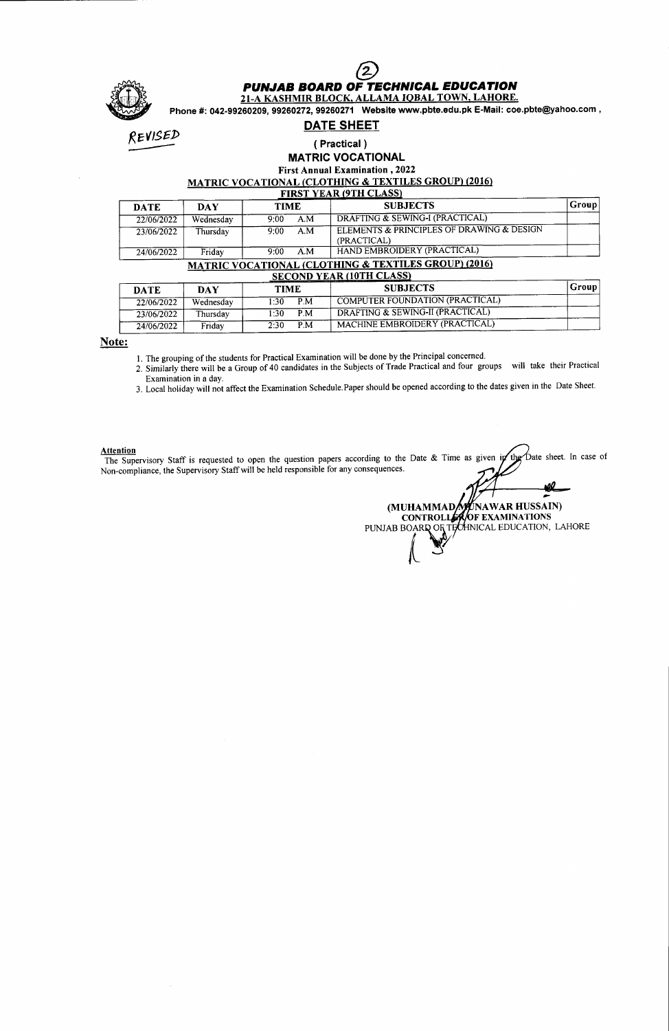

## PUNJAB BOARD OF TECHNICAL EDUCATION

2I-A KASHMIR BLOCK. ALLAMA IOBAL TOWN. LAHORE.

Phone #: 042-99260209, 99260272, 99260271 Website www.pbte.edu.pk E-Mail: coe.pbte@yahoo.com ,

DATE SHEET

Revised

### ( Practical) MATRIC VOCATIONAL

First Annual Examination, 2022

MATRIC VOCATIONAL (CLOTHING & TEXTILES GROUP) (2016)

|  | <b>FIRST YEAR (9TH CLASS)</b> |  |
|--|-------------------------------|--|

| <b>DATE</b> | DAY       | <b>TIME</b> | <b>SUBJECTS</b>                                                 | Group |
|-------------|-----------|-------------|-----------------------------------------------------------------|-------|
| 22/06/2022  | Wednesday | A.M<br>9:00 | DRAFTING & SEWING-I (PRACTICAL)                                 |       |
| 23/06/2022  | Thursday  | A.M<br>9:00 | ELEMENTS & PRINCIPLES OF DRAWING & DESIGN<br>(PRACTICAL)        |       |
| 24/06/2022  | Fridav    | 9:00<br>A.M | HAND EMBROIDERY (PRACTICAL)                                     |       |
|             |           |             | <b>MATRIC VOCATIONAL (CLOTHING &amp; TEXTILES GROUP) (2016)</b> |       |

| SECOND YEAR (10TH CLASS) |           |             |                                        |       |  |  |  |  |
|--------------------------|-----------|-------------|----------------------------------------|-------|--|--|--|--|
| <b>DATE</b>              | DAY       | <b>TIME</b> | <b>SUBJECTS</b>                        | Group |  |  |  |  |
| 22/06/2022               | Wednesdav | P.M<br>1:30 | <b>COMPUTER FOUNDATION (PRACTICAL)</b> |       |  |  |  |  |
| 23/06/2022               | Thursday  | P.M<br>1:30 | DRAFTING & SEWING-II (PRACTICAL)       |       |  |  |  |  |
| 24/06/2022               | Fridav    | P.M<br>2:30 | MACHINE EMBROIDERY (PRACTICAL)         |       |  |  |  |  |

### Note:

1. The grouping of the students for Practical Examination will be done by the Principal concerned.

2. Similarly there will be a Group of 40 candidates in the Subjects of Trade Practical and four groups will take their Practical Examination in a day.

3. Local holiday will not affect the Examination Schedule.Paper should be opened according to the dates given in the Date Sheet

Attention<br>The Supervisory Staff is requested to open the question papers according to the Date & Time as given bate sheet. In case of the Non-compliance, the Supervisory Staff will be held responsible for any consequences

aû (MUHAMMAD**/v//**UNAWAR HUSSAIN) EXAMINATIONS ALEDUCATION, LAHORE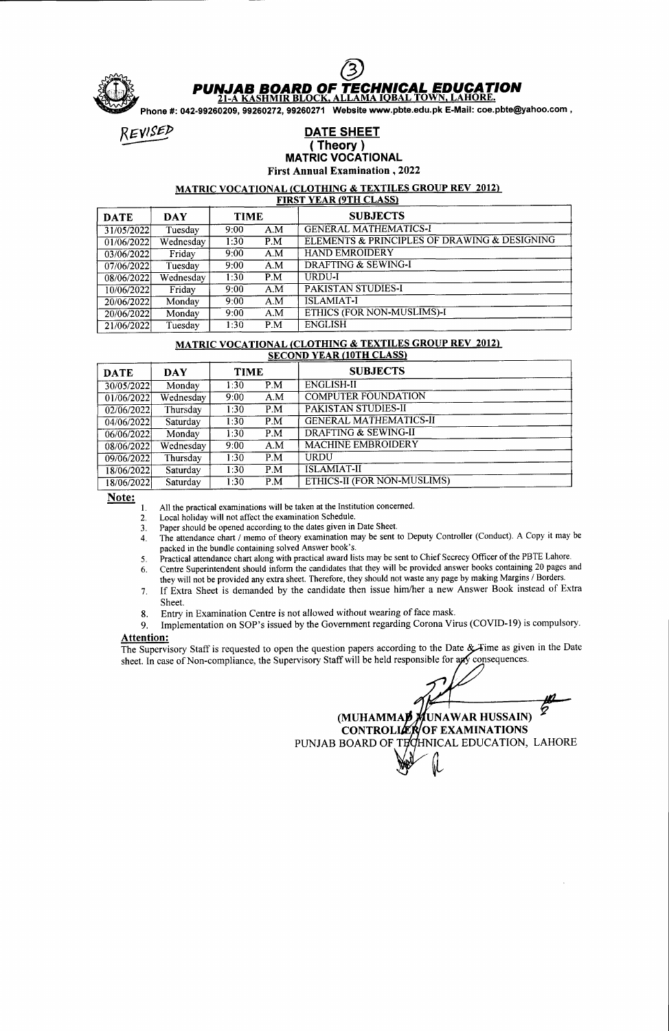

Phone #: 042-99260209, 99260272, 99260271 Website www.pbte.edu.pk E-Mail: coe.pbte@yahoo.com ,<br>REVISED **DATE SHEET** (Theory )

# (Theory)<br>MATRIC VOCATIONAL

First Annual Examination ,2022

# MATRIC VOCATIONAL (CLOTHING & TEXTILES GROUP REV 2012)<br>FIRST YEAR (9TH CLASS)

| <b>DATE</b> | <b>DAY</b> | <b>TIME</b> |     | <b>SUBJECTS</b>                              |
|-------------|------------|-------------|-----|----------------------------------------------|
| 31/05/2022  | Tuesday    | 9:00        | A.M | <b>GENERAL MATHEMATICS-I</b>                 |
| 01/06/2022  | Wednesday  | 1:30        | P.M | ELEMENTS & PRINCIPLES OF DRAWING & DESIGNING |
| 03/06/2022  | Friday     | 9:00        | A.M | <b>HAND EMROIDERY</b>                        |
| 07/06/2022  | Tuesday    | 9:00        | A.M | <b>DRAFTING &amp; SEWING-I</b>               |
| 08/06/2022  | Wednesday  | 1:30        | P.M | URDU-I                                       |
| 10/06/2022  | Friday     | 9:00        | A.M | <b>PAKISTAN STUDIES-I</b>                    |
| 20/06/2022  | Monday     | 9:00        | A.M | <b>ISLAMIAT-I</b>                            |
| 20/06/2022  | Monday     | 9:00        | A.M | <b>ETHICS (FOR NON-MUSLIMS)-I</b>            |
| 21/06/2022  | Tuesday    | 1:30        | P.M | <b>ENGLISH</b>                               |

# MATRIC VOCATIONAL (CLOTHING & TEXTILES GROUP REV 2012)<br>SECOND YEAR (10TH CLASS)

| <b>DATE</b> | <b>DAY</b> | <b>TIME</b> |                | <b>SUBJECTS</b>               |
|-------------|------------|-------------|----------------|-------------------------------|
| 30/05/2022  | Monday     | 1:30        | P.M            | <b>ENGLISH-II</b>             |
| 01/06/2022  | Wednesday  | 9:00        | A.M            | <b>COMPUTER FOUNDATION</b>    |
| 02/06/2022  | Thursday   | 1:30        | P.M            | <b>PAKISTAN STUDIES-II</b>    |
| 04/06/2022  | Saturday   | 1:30        | P <sub>M</sub> | <b>GENERAL MATHEMATICS-II</b> |
| 06/06/2022  | Monday     | 1:30        | P.M            | DRAFTING & SEWING-II          |
| 08/06/2022  | Wednesday  | 9:00        | A.M            | <b>MACHINE EMBROIDERY</b>     |
| 09/06/2022  | Thursday   | 1:30        | P.M            | <b>URDU</b>                   |
| 18/06/2022  | Saturday   | 1:30        | P.M            | <b>ISLAMIAT-II</b>            |
| 18/06/2022  | Saturday   | 1:30        | P.M            | ETHICS-II (FOR NON-MUSLIMS)   |

Note:

All the practical examinations will be taken at the Institution concerned. l.

Local holiday will not affect the examination Schedule. 2.

Paper should be opened according to the dates given in Date Sheet. 3.

- The attendance chart / memo of theory examination may be sent to Deputy Controller (Conduct). A Copy it may be packed in the bundle containing solved Answer book's. A
- iractical attendance chart along with practical award lists may be sent to Chief Secrecy Officer of the PBTE Lahore. Centre Superintendent should inform the candidates that they will be provided answer books containing 20 pages and 5. b.
- they will not be provided any extra sheet. Therefore, they should not waste any page by making Margins / Borders.
- If Extra Sheet is demanded by the candidate then issue him/her a new Answer Book instead of Extra  $\overline{7}$ . Sheet.
- 8. Entry in Examination Centre is not allowed without wearing of face mask.<br>9. Implementation on SOP's issued by the Government regarding Corona Vi
- Implementation on SOP's issued by the Government regarding Corona Virus (COVID-19) is compulsory.

### Attention:

The Supervisory Staff is requested to open the question papers according to the Date & Fime as given in the Date sheet. In case of Non-compliance, the Supervisory Staff will be held responsible for any consequences

(MUHAMMA**P** MUNAWAR HUSSAIN) CONTROLLER OF EXAMINATIONS PUNJAB BOARD OF TECHNICAL EDUCATION, LAHORE  $\mathcal{L}$ 

fiL